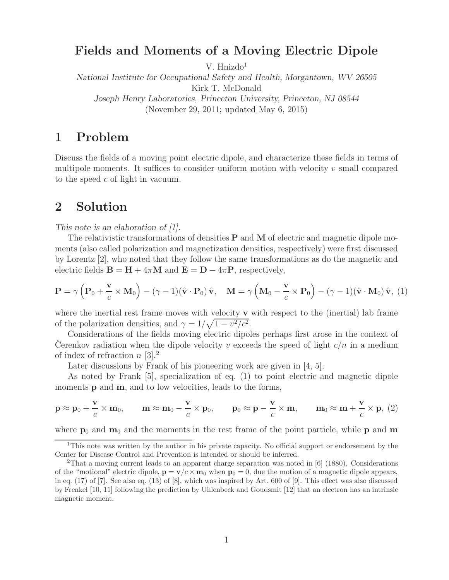# **Fields and Moments of a Moving Electric Dipole**

V. Hnizdo<sup>1</sup>

*National Institute for Occupational Safety and Health, Morgantown, WV 26505* Kirk T. McDonald *Joseph Henry Laboratories, Princeton University, Princeton, NJ 08544*

(November 29, 2011; updated May 6, 2015)

## **1 Problem**

Discuss the fields of a moving point electric dipole, and characterize these fields in terms of multipole moments. It suffices to consider uniform motion with velocity  $v$  small compared to the speed c of light in vacuum.

## **2 Solution**

*This note is an elaboration of [1].*

The relativistic transformations of densities **P** and **M** of electric and magnetic dipole moments (also called polarization and magnetization densities, respectively) were first discussed by Lorentz [2], who noted that they follow the same transformations as do the magnetic and electric fields  $\mathbf{B} = \mathbf{H} + 4\pi\mathbf{M}$  and  $\mathbf{E} = \mathbf{D} - 4\pi\mathbf{P}$ , respectively,

$$
\mathbf{P} = \gamma \left( \mathbf{P}_0 + \frac{\mathbf{v}}{c} \times \mathbf{M}_0 \right) - (\gamma - 1)(\hat{\mathbf{v}} \cdot \mathbf{P}_0) \hat{\mathbf{v}}, \quad \mathbf{M} = \gamma \left( \mathbf{M}_0 - \frac{\mathbf{v}}{c} \times \mathbf{P}_0 \right) - (\gamma - 1)(\hat{\mathbf{v}} \cdot \mathbf{M}_0) \hat{\mathbf{v}}, \tag{1}
$$

where the inertial rest frame moves with velocity **v** with respect to the (inertial) lab frame of the polarization densities, and  $\gamma = 1/\sqrt{1 - v^2/c^2}$ .

Considerations of the fields moving electric dipoles perhaps first arose in the context of Cerenkov radiation when the dipole velocity  $v$  exceeds the speed of light  $c/n$  in a medium of index of refraction  $n \geq 3$ .

Later discussions by Frank of his pioneering work are given in [4, 5].

As noted by Frank [5], specialization of eq. (1) to point electric and magnetic dipole moments **p** and **m**, and to low velocities, leads to the forms,

$$
\mathbf{p} \approx \mathbf{p}_0 + \frac{\mathbf{v}}{c} \times \mathbf{m}_0, \qquad \mathbf{m} \approx \mathbf{m}_0 - \frac{\mathbf{v}}{c} \times \mathbf{p}_0, \qquad \mathbf{p}_0 \approx \mathbf{p} - \frac{\mathbf{v}}{c} \times \mathbf{m}, \qquad \mathbf{m}_0 \approx \mathbf{m} + \frac{\mathbf{v}}{c} \times \mathbf{p}, \ (2)
$$

where  $\mathbf{p}_0$  and  $\mathbf{m}_0$  and the moments in the rest frame of the point particle, while  $\mathbf{p}$  and  $\mathbf{m}$ 

<sup>&</sup>lt;sup>1</sup>This note was written by the author in his private capacity. No official support or endorsement by the Center for Disease Control and Prevention is intended or should be inferred.

<sup>2</sup>That a moving current leads to an apparent charge separation was noted in [6] (1880). Considerations of the "motional" electric dipole,  $\mathbf{p} = \mathbf{v}/c \times \mathbf{m}_0$  when  $\mathbf{p}_0 = 0$ , due the motion of a magnetic dipole appears, in eq. (17) of [7]. See also eq. (13) of [8], which was inspired by Art. 600 of [9]. This effect was also discussed by Frenkel [10, 11] following the prediction by Uhlenbeck and Goudsmit [12] that an electron has an intrinsic magnetic moment.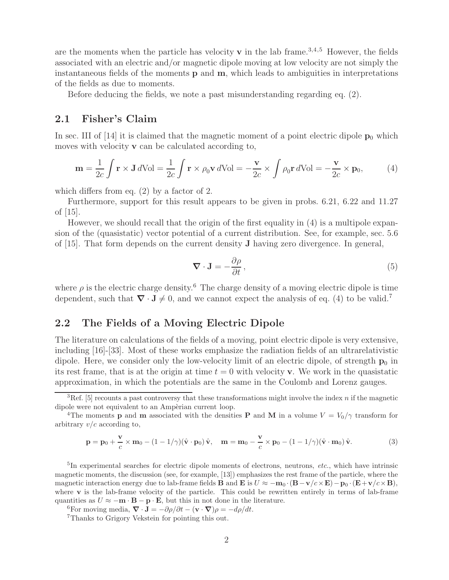are the moments when the particle has velocity  $\bf{v}$  in the lab frame.<sup>3,4,5</sup> However, the fields associated with an electric and/or magnetic dipole moving at low velocity are not simply the instantaneous fields of the moments **p** and **m**, which leads to ambiguities in interpretations of the fields as due to moments.

Before deducing the fields, we note a past misunderstanding regarding eq. (2).

### **2.1 Fisher's Claim**

In sec. III of [14] it is claimed that the magnetic moment of a point electric dipole  $\mathbf{p}_0$  which moves with velocity **v** can be calculated according to,

$$
\mathbf{m} = \frac{1}{2c} \int \mathbf{r} \times \mathbf{J} \, d\text{Vol} = \frac{1}{2c} \int \mathbf{r} \times \rho_0 \mathbf{v} \, d\text{Vol} = -\frac{\mathbf{v}}{2c} \times \int \rho_0 \mathbf{r} \, d\text{Vol} = -\frac{\mathbf{v}}{2c} \times \mathbf{p}_0,\tag{4}
$$

which differs from eq. (2) by a factor of 2.

Furthermore, support for this result appears to be given in probs. 6.21, 6.22 and 11.27 of [15].

However, we should recall that the origin of the first equality in (4) is a multipole expansion of the (quasistatic) vector potential of a current distribution. See, for example, sec. 5.6 of [15]. That form depends on the current density **J** having zero divergence. In general,

$$
\nabla \cdot \mathbf{J} = -\frac{\partial \rho}{\partial t},\tag{5}
$$

where  $\rho$  is the electric charge density.<sup>6</sup> The charge density of a moving electric dipole is time dependent, such that  $\nabla \cdot \mathbf{J} \neq 0$ , and we cannot expect the analysis of eq. (4) to be valid.<sup>7</sup>

### **2.2 The Fields of a Moving Electric Dipole**

The literature on calculations of the fields of a moving, point electric dipole is very extensive, including [16]-[33]. Most of these works emphasize the radiation fields of an ultrarelativistic dipole. Here, we consider only the low-velocity limit of an electric dipole, of strength  $p_0$  in its rest frame, that is at the origin at time  $t = 0$  with velocity **v**. We work in the quasistatic approximation, in which the potentials are the same in the Coulomb and Lorenz gauges.

$$
\mathbf{p} = \mathbf{p}_0 + \frac{\mathbf{v}}{c} \times \mathbf{m}_0 - (1 - 1/\gamma)(\hat{\mathbf{v}} \cdot \mathbf{p}_0) \hat{\mathbf{v}}, \quad \mathbf{m} = \mathbf{m}_0 - \frac{\mathbf{v}}{c} \times \mathbf{p}_0 - (1 - 1/\gamma)(\hat{\mathbf{v}} \cdot \mathbf{m}_0) \hat{\mathbf{v}}.
$$
 (3)

<sup>5</sup>In experimental searches for electric dipole moments of electrons, neutrons, *etc.*, which have intrinsic magnetic moments, the discussion (see, for example, [13]) emphasizes the rest frame of the particle, where the magnetic interaction energy due to lab-frame fields **B** and **E** is  $U \approx -\mathbf{m}_0 \cdot (\mathbf{B} - \mathbf{v}/c \times \mathbf{E}) - \mathbf{p}_0 \cdot (\mathbf{E} + \mathbf{v}/c \times \mathbf{B})$ , where  $\bf{v}$  is the lab-frame velocity of the particle. This could be rewritten entirely in terms of lab-frame quantities as  $U \approx -\mathbf{m} \cdot \mathbf{B} - \mathbf{p} \cdot \mathbf{E}$ , but this in not done in the literature.

<sup>6</sup>For moving media,  $\nabla \cdot \mathbf{J} = -\partial \rho / \partial t - (\mathbf{v} \cdot \nabla) \rho = -d\rho / dt$ .<br><sup>7</sup>Thanks to Grigory Vekstein for pointing this out.

<sup>&</sup>lt;sup>3</sup>Ref. [5] recounts a past controversy that these transformations might involve the index *n* if the magnetic dipole were not equivalent to an Ampèrian current loop.

<sup>&</sup>lt;sup>4</sup>The moments **p** and **m** associated with the densities **P** and **M** in a volume  $V = V_0/\gamma$  transform for arbitrary  $v/c$  according to,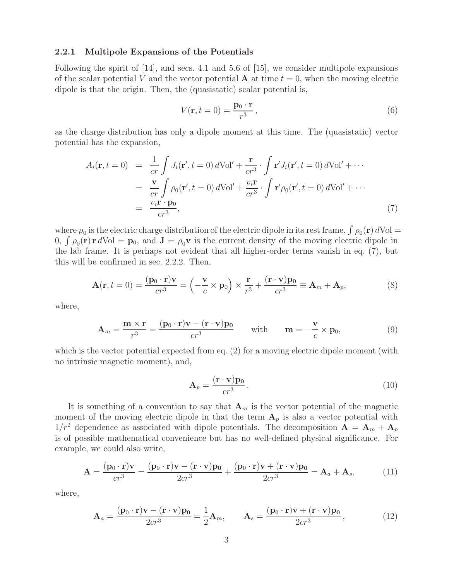#### **2.2.1 Multipole Expansions of the Potentials**

Following the spirit of [14], and secs. 4.1 and 5.6 of [15], we consider multipole expansions of the scalar potential V and the vector potential  $\bf{A}$  at time  $t = 0$ , when the moving electric dipole is that the origin. Then, the (quasistatic) scalar potential is,

$$
V(\mathbf{r}, t = 0) = \frac{\mathbf{p}_0 \cdot \mathbf{r}}{r^3},\tag{6}
$$

as the charge distribution has only a dipole moment at this time. The (quasistatic) vector potential has the expansion,

$$
A_i(\mathbf{r}, t = 0) = \frac{1}{cr} \int J_i(\mathbf{r}', t = 0) dVol' + \frac{\mathbf{r}}{cr^3} \cdot \int \mathbf{r}' J_i(\mathbf{r}', t = 0) dVol' + \cdots
$$
  

$$
= \frac{\mathbf{v}}{cr} \int \rho_0(\mathbf{r}', t = 0) dVol' + \frac{v_i \mathbf{r}}{cr^3} \cdot \int \mathbf{r}' \rho_0(\mathbf{r}', t = 0) dVol' + \cdots
$$
  

$$
= \frac{v_i \mathbf{r} \cdot \mathbf{p}_0}{cr^3}, \tag{7}
$$

where  $\rho_0$  is the electric charge distribution of the electric dipole in its rest frame,  $\int \rho_0(\mathbf{r}) dVol =$ 0,  $\int \rho_0(\mathbf{r}) \mathbf{r} dVol = \mathbf{p}_0$ , and  $\mathbf{J} = \rho_0 \mathbf{v}$  is the current density of the moving electric dipole in the lab frame. It is perhaps not evident that all higher-order terms vanish in eq. (7), but this will be confirmed in sec. 2.2.2. Then,

$$
\mathbf{A}(\mathbf{r}, t=0) = \frac{(\mathbf{p}_0 \cdot \mathbf{r})\mathbf{v}}{cr^3} = \left(-\frac{\mathbf{v}}{c} \times \mathbf{p}_0\right) \times \frac{\mathbf{r}}{r^3} + \frac{(\mathbf{r} \cdot \mathbf{v})\mathbf{p}_0}{cr^3} \equiv \mathbf{A}_m + \mathbf{A}_p,
$$
\n(8)

where,

$$
\mathbf{A}_m = \frac{\mathbf{m} \times \mathbf{r}}{r^3} = \frac{(\mathbf{p}_0 \cdot \mathbf{r})\mathbf{v} - (\mathbf{r} \cdot \mathbf{v})\mathbf{p}_0}{cr^3} \quad \text{with} \quad \mathbf{m} = -\frac{\mathbf{v}}{c} \times \mathbf{p}_0,\tag{9}
$$

which is the vector potential expected from eq.  $(2)$  for a moving electric dipole moment (with no intrinsic magnetic moment), and,

$$
\mathbf{A}_p = \frac{(\mathbf{r} \cdot \mathbf{v}) \mathbf{p_0}}{c r^3} \,. \tag{10}
$$

It is something of a convention to say that  $A_m$  is the vector potential of the magnetic moment of the moving electric dipole in that the term  $A_p$  is also a vector potential with  $1/r^2$  dependence as associated with dipole potentials. The decomposition  $\mathbf{A} = \mathbf{A}_m + \mathbf{A}_p$ is of possible mathematical convenience but has no well-defined physical significance. For example, we could also write,

$$
\mathbf{A} = \frac{(\mathbf{p}_0 \cdot \mathbf{r})\mathbf{v}}{cr^3} = \frac{(\mathbf{p}_0 \cdot \mathbf{r})\mathbf{v} - (\mathbf{r} \cdot \mathbf{v})\mathbf{p}_0}{2cr^3} + \frac{(\mathbf{p}_0 \cdot \mathbf{r})\mathbf{v} + (\mathbf{r} \cdot \mathbf{v})\mathbf{p}_0}{2cr^3} = \mathbf{A}_a + \mathbf{A}_s,
$$
(11)

where,

$$
\mathbf{A}_a = \frac{(\mathbf{p}_0 \cdot \mathbf{r})\mathbf{v} - (\mathbf{r} \cdot \mathbf{v})\mathbf{p}_0}{2cr^3} = \frac{1}{2}\mathbf{A}_m, \qquad \mathbf{A}_s = \frac{(\mathbf{p}_0 \cdot \mathbf{r})\mathbf{v} + (\mathbf{r} \cdot \mathbf{v})\mathbf{p}_0}{2cr^3},
$$
(12)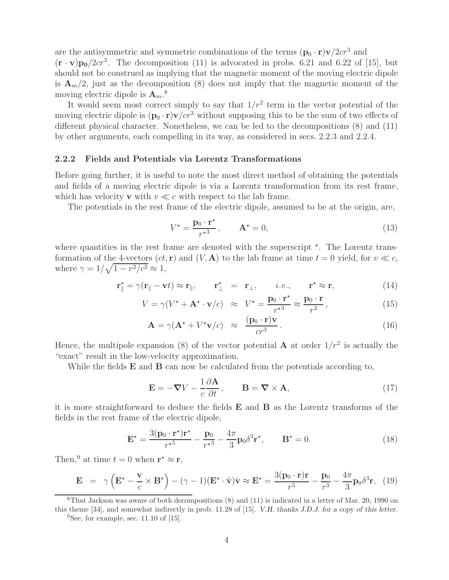are the antisymmetric and symmetric combinations of the terms  $(\mathbf{p}_0 \cdot \mathbf{r}) \mathbf{v}/2c r^3$  and  $(\mathbf{r} \cdot \mathbf{v}) \mathbf{p}_0/2c r^3$ . The decomposition (11) is advocated in probs. 6.21 and 6.22 of [15], but should not be construed as implying that the magnetic moment of the moving electric dipole is  $\mathbf{A}_m/2$ , just as the decomposition (8) does not imply that the magnetic moment of the moving electric dipole is **A**m. 8

It would seem most correct simply to say that  $1/r^2$  term in the vector potential of the moving electric dipole is  $(\mathbf{p}_0 \cdot \mathbf{r}) \mathbf{v}/c r^3$  without supposing this to be the sum of two effects of different physical character. Nonetheless, we can be led to the decompositions (8) and (11) by other arguments, each compelling in its way, as considered in secs. 2.2.3 and 2.2.4.

#### **2.2.2 Fields and Potentials via Lorentz Transformations**

Before going further, it is useful to note the most direct method of obtaining the potentials and fields of a moving electric dipole is via a Lorentz transformation from its rest frame, which has velocity **v** with  $v \ll c$  with respect to the lab frame.

The potentials in the rest frame of the electric dipole, assumed to be at the origin, are,

$$
V^* = \frac{\mathbf{p}_0 \cdot \mathbf{r}^*}{r^{*3}}, \qquad \mathbf{A}^* = 0,
$$
\n(13)

where quantities in the rest frame are denoted with the superscript  $*$ . The Lorentz transformation of the 4-vectors  $(ct, r)$  and  $(V, A)$  to the lab frame at time  $t = 0$  yield, for  $v \ll c$ , where  $\gamma = 1/\sqrt{1 - v^2/c^2} \approx 1$ ,

$$
\mathbf{r}_{\parallel}^{\star} = \gamma(\mathbf{r}_{\parallel} - \mathbf{v}t) \approx \mathbf{r}_{\parallel}, \qquad \mathbf{r}_{\perp}^{\star} = \mathbf{r}_{\perp}, \qquad i.e., \qquad \mathbf{r}^{\star} \approx \mathbf{r}, \tag{14}
$$

$$
V = \gamma (V^* + \mathbf{A}^* \cdot \mathbf{v}/c) \approx V^* = \frac{\mathbf{p}_0 \cdot \mathbf{r}^*}{r^{*3}} \approx \frac{\mathbf{p}_0 \cdot \mathbf{r}}{r^3},\tag{15}
$$

$$
\mathbf{A} = \gamma (\mathbf{A}^{\star} + V^{\star} \mathbf{v}/c) \approx \frac{(\mathbf{p}_0 \cdot \mathbf{r}) \mathbf{v}}{c r^3}.
$$
 (16)

Hence, the multipole expansion (8) of the vector potential **A** at order  $1/r^2$  is actually the "exact" result in the low-velocity approximation.

While the fields **E** and **B** can now be calculated from the potentials according to,

$$
\mathbf{E} = -\nabla V - \frac{1}{c} \frac{\partial \mathbf{A}}{\partial t}, \qquad \mathbf{B} = \nabla \times \mathbf{A}, \tag{17}
$$

it is more straightforward to deduce the fields **E** and **B** as the Lorentz transforms of the fields in the rest frame of the electric dipole,

$$
\mathbf{E}^{\star} = \frac{3(\mathbf{p}_0 \cdot \mathbf{r}^{\star})\mathbf{r}^{\star}}{r^{\star 5}} - \frac{\mathbf{p}_0}{r^{\star 3}} - \frac{4\pi}{3}\mathbf{p}_0 \delta^3 \mathbf{r}^{\star}, \qquad \mathbf{B}^{\star} = 0.
$$
 (18)

Then,<sup>9</sup> at time  $t = 0$  when  $\mathbf{r}^* \approx \mathbf{r}$ ,

$$
\mathbf{E} = \gamma \left( \mathbf{E}^* - \frac{\mathbf{v}}{c} \times \mathbf{B}^* \right) - (\gamma - 1)(\mathbf{E}^* \cdot \hat{\mathbf{v}}) \hat{\mathbf{v}} \approx \mathbf{E}^* = \frac{3(\mathbf{p}_0 \cdot \mathbf{r}) \mathbf{r}}{r^5} - \frac{\mathbf{p}_0}{r^3} - \frac{4\pi}{3} \mathbf{p}_0 \delta^3 \mathbf{r}, \tag{19}
$$

<sup>8</sup>That Jackson was aware of both decompositions (8) and (11) is indicated in a letter of Mar. 20, 1990 on this theme [34], and somewhat indirectly in prob. 11.28 of [15]. *V.H. thanks J.D.J. for a copy of this letter.*

 ${}^{9}$ See, for example, sec. 11.10 of [15].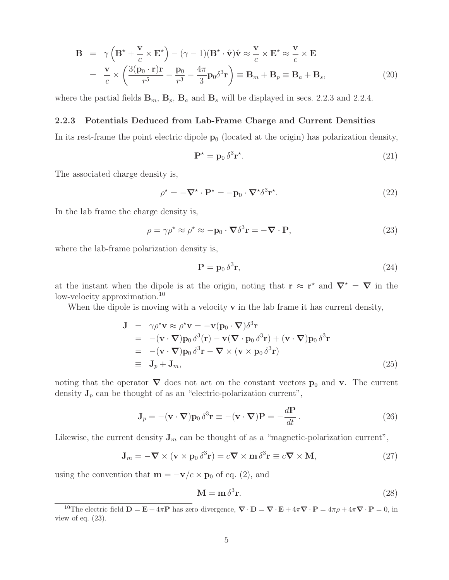$$
\mathbf{B} = \gamma \left( \mathbf{B}^* + \frac{\mathbf{v}}{c} \times \mathbf{E}^* \right) - (\gamma - 1)(\mathbf{B}^* \cdot \hat{\mathbf{v}}) \hat{\mathbf{v}} \approx \frac{\mathbf{v}}{c} \times \mathbf{E}^* \approx \frac{\mathbf{v}}{c} \times \mathbf{E}
$$
  
= 
$$
\frac{\mathbf{v}}{c} \times \left( \frac{3(\mathbf{p}_0 \cdot \mathbf{r}) \mathbf{r}}{r^5} - \frac{\mathbf{p}_0}{r^3} - \frac{4\pi}{3} \mathbf{p}_0 \delta^3 \mathbf{r} \right) \equiv \mathbf{B}_m + \mathbf{B}_p \equiv \mathbf{B}_a + \mathbf{B}_s,
$$
 (20)

where the partial fields  $\mathbf{B}_m$ ,  $\mathbf{B}_p$ ,  $\mathbf{B}_a$  and  $\mathbf{B}_s$  will be displayed in secs. 2.2.3 and 2.2.4.

#### **2.2.3 Potentials Deduced from Lab-Frame Charge and Current Densities**

In its rest-frame the point electric dipole  $\mathbf{p}_0$  (located at the origin) has polarization density,

$$
\mathbf{P}^{\star} = \mathbf{p}_0 \,\delta^3 \mathbf{r}^{\star}.\tag{21}
$$

The associated charge density is,

$$
\rho^* = -\nabla^* \cdot \mathbf{P}^* = -\mathbf{p}_0 \cdot \nabla^* \delta^3 \mathbf{r}^*.
$$
\n(22)

In the lab frame the charge density is,

$$
\rho = \gamma \rho^* \approx \rho^* \approx -\mathbf{p}_0 \cdot \nabla \delta^3 \mathbf{r} = -\nabla \cdot \mathbf{P},\tag{23}
$$

where the lab-frame polarization density is,

$$
\mathbf{P} = \mathbf{p}_0 \,\delta^3 \mathbf{r},\tag{24}
$$

at the instant when the dipole is at the origin, noting that  $\mathbf{r} \approx \mathbf{r}^*$  and  $\nabla^* = \nabla$  in the low-velocity approximation.<sup>10</sup>

When the dipole is moving with a velocity **v** in the lab frame it has current density,

$$
\mathbf{J} = \gamma \rho^* \mathbf{v} \approx \rho^* \mathbf{v} = -\mathbf{v} (\mathbf{p}_0 \cdot \nabla) \delta^3 \mathbf{r}
$$
  
\n
$$
= -(\mathbf{v} \cdot \nabla) \mathbf{p}_0 \delta^3 (\mathbf{r}) - \mathbf{v} (\nabla \cdot \mathbf{p}_0 \delta^3 \mathbf{r}) + (\mathbf{v} \cdot \nabla) \mathbf{p}_0 \delta^3 \mathbf{r}
$$
  
\n
$$
= -(\mathbf{v} \cdot \nabla) \mathbf{p}_0 \delta^3 \mathbf{r} - \nabla \times (\mathbf{v} \times \mathbf{p}_0 \delta^3 \mathbf{r})
$$
  
\n
$$
= \mathbf{J}_p + \mathbf{J}_m,
$$
\n(25)

noting that the operator  $\nabla$  does not act on the constant vectors  $\mathbf{p}_0$  and **v**. The current density  $J_p$  can be thought of as an "electric-polarization current",

$$
\mathbf{J}_p = -(\mathbf{v} \cdot \nabla) \mathbf{p}_0 \, \delta^3 \mathbf{r} \equiv -(\mathbf{v} \cdot \nabla) \mathbf{P} = -\frac{d\mathbf{P}}{dt} \,. \tag{26}
$$

Likewise, the current density  $J_m$  can be thought of as a "magnetic-polarization current",

$$
\mathbf{J}_m = -\nabla \times (\mathbf{v} \times \mathbf{p}_0 \,\delta^3 \mathbf{r}) = c\nabla \times \mathbf{m} \,\delta^3 \mathbf{r} \equiv c\nabla \times \mathbf{M},\tag{27}
$$

using the convention that  $\mathbf{m} = -\mathbf{v}/c \times \mathbf{p}_0$  of eq. (2), and

$$
\mathbf{M} = \mathbf{m} \,\delta^3 \mathbf{r}.\tag{28}
$$

<sup>&</sup>lt;sup>10</sup>The electric field  $\mathbf{D} = \mathbf{E} + 4\pi \mathbf{P}$  has zero divergence,  $\nabla \cdot \mathbf{D} = \nabla \cdot \mathbf{E} + 4\pi \nabla \cdot \mathbf{P} = 4\pi \rho + 4\pi \nabla \cdot \mathbf{P} = 0$ , in view of eq.  $(23)$ .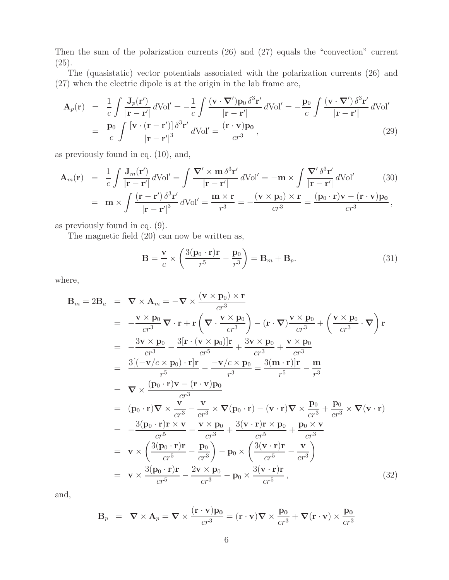Then the sum of the polarization currents (26) and (27) equals the "convection" current  $(25).$ 

The (quasistatic) vector potentials associated with the polarization currents (26) and (27) when the electric dipole is at the origin in the lab frame are,

$$
\mathbf{A}_{p}(\mathbf{r}) = \frac{1}{c} \int \frac{\mathbf{J}_{p}(\mathbf{r}')}{|\mathbf{r} - \mathbf{r}'|} d\text{Vol}' = -\frac{1}{c} \int \frac{(\mathbf{v} \cdot \nabla') \mathbf{p}_{0} \, \delta^{3} \mathbf{r}'}{|\mathbf{r} - \mathbf{r}'|} d\text{Vol}' = -\frac{\mathbf{p}_{0}}{c} \int \frac{(\mathbf{v} \cdot \nabla') \, \delta^{3} \mathbf{r}'}{|\mathbf{r} - \mathbf{r}'|} d\text{Vol}'
$$
\n
$$
= \frac{\mathbf{p}_{0}}{c} \int \frac{[\mathbf{v} \cdot (\mathbf{r} - \mathbf{r}')] \, \delta^{3} \mathbf{r}'}{|\mathbf{r} - \mathbf{r}'|^{3}} d\text{Vol}' = \frac{(\mathbf{r} \cdot \mathbf{v}) \mathbf{p}_{0}}{cr^{3}}, \tag{29}
$$

as previously found in eq. (10), and,

$$
\mathbf{A}_{m}(\mathbf{r}) = \frac{1}{c} \int \frac{\mathbf{J}_{m}(\mathbf{r}')}{|\mathbf{r} - \mathbf{r}'|} d\text{Vol}' = \int \frac{\nabla' \times \mathbf{m} \,\delta^{3} \mathbf{r}'}{|\mathbf{r} - \mathbf{r}'|} d\text{Vol}' = -\mathbf{m} \times \int \frac{\nabla' \,\delta^{3} \mathbf{r}'}{|\mathbf{r} - \mathbf{r}'|} d\text{Vol}'
$$
\n
$$
= \mathbf{m} \times \int \frac{(\mathbf{r} - \mathbf{r}') \,\delta^{3} \mathbf{r}'}{|\mathbf{r} - \mathbf{r}'|^{3}} d\text{Vol}' = \frac{\mathbf{m} \times \mathbf{r}}{r^{3}} = -\frac{(\mathbf{v} \times \mathbf{p}_{0}) \times \mathbf{r}}{cr^{3}} = \frac{(\mathbf{p}_{0} \cdot \mathbf{r}) \mathbf{v} - (\mathbf{r} \cdot \mathbf{v}) \mathbf{p}_{0}}{cr^{3}},
$$
\n(30)

as previously found in eq. (9).

The magnetic field (20) can now be written as,

$$
\mathbf{B} = \frac{\mathbf{v}}{c} \times \left( \frac{3(\mathbf{p}_0 \cdot \mathbf{r})\mathbf{r}}{r^5} - \frac{\mathbf{p}_0}{r^3} \right) = \mathbf{B}_m + \mathbf{B}_p.
$$
 (31)

where,

$$
\mathbf{B}_{m} = 2\mathbf{B}_{a} = \nabla \times \mathbf{A}_{m} = -\nabla \times \frac{(\mathbf{v} \times \mathbf{p}_{0}) \times \mathbf{r}}{cr^{3}} \n= -\frac{\mathbf{v} \times \mathbf{p}_{0}}{cr^{3}} \nabla \cdot \mathbf{r} + \mathbf{r} \left( \nabla \cdot \frac{\mathbf{v} \times \mathbf{p}_{0}}{cr^{3}} \right) - (\mathbf{r} \cdot \nabla) \frac{\mathbf{v} \times \mathbf{p}_{0}}{cr^{3}} + \left( \frac{\mathbf{v} \times \mathbf{p}_{0}}{cr^{3}} \cdot \nabla \right) \mathbf{r} \n= -\frac{3\mathbf{v} \times \mathbf{p}_{0}}{cr^{3}} - \frac{3[\mathbf{r} \cdot (\mathbf{v} \times \mathbf{p}_{0})]\mathbf{r}}{cr^{5}} + \frac{3\mathbf{v} \times \mathbf{p}_{0}}{cr^{3}} + \frac{\mathbf{v} \times \mathbf{p}_{0}}{cr^{3}} \n= \frac{3[(-\mathbf{v}/c \times \mathbf{p}_{0}) \cdot \mathbf{r}]\mathbf{r}}{r^{5}} - \frac{-\mathbf{v}/c \times \mathbf{p}_{0}}{r^{3}} = \frac{3(\mathbf{m} \cdot \mathbf{r})\mathbf{r}}{r^{5}} - \frac{\mathbf{m}}{r^{3}} \n= \nabla \times \frac{(\mathbf{p}_{0} \cdot \mathbf{r})\mathbf{v} - (\mathbf{r} \cdot \mathbf{v})\mathbf{p}_{0}}{cr^{3}} \n= (\mathbf{p}_{0} \cdot \mathbf{r})\nabla \times \frac{\mathbf{v}}{cr^{3}} - \frac{\mathbf{v}}{cr^{3}} \times \nabla (\mathbf{p}_{0} \cdot \mathbf{r}) - (\mathbf{v} \cdot \mathbf{r})\nabla \times \frac{\mathbf{p}_{0}}{cr^{3}} + \frac{\mathbf{p}_{0}}{cr^{5}} \times \mathbf{v} \n= -\frac{3(\mathbf{p}_{0} \cdot \mathbf{r})\mathbf{r} \times \mathbf{v}}{cr^{5}} - \frac{\mathbf{v} \times \mathbf{p}_{0}}{cr^{3}} + \frac{3(\mathbf{v} \cdot \mathbf{
$$

and,

$$
\mathbf{B}_p = \nabla \times \mathbf{A}_p = \nabla \times \frac{(\mathbf{r} \cdot \mathbf{v}) \mathbf{p_0}}{cr^3} = (\mathbf{r} \cdot \mathbf{v}) \nabla \times \frac{\mathbf{p_0}}{cr^3} + \nabla (\mathbf{r} \cdot \mathbf{v}) \times \frac{\mathbf{p_0}}{cr^3}
$$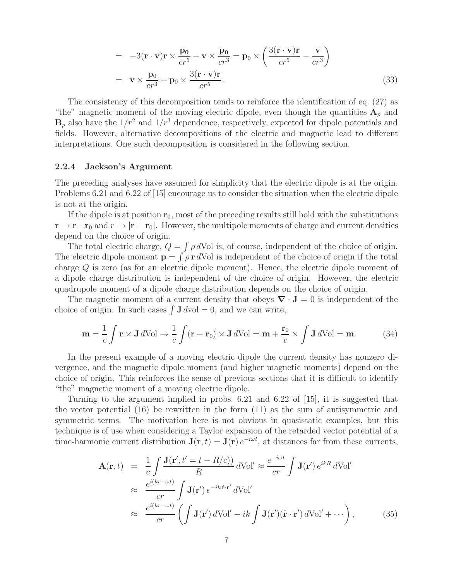$$
= -3(\mathbf{r} \cdot \mathbf{v})\mathbf{r} \times \frac{\mathbf{p_0}}{cr^5} + \mathbf{v} \times \frac{\mathbf{p_0}}{cr^3} = \mathbf{p_0} \times \left(\frac{3(\mathbf{r} \cdot \mathbf{v})\mathbf{r}}{cr^5} - \frac{\mathbf{v}}{cr^3}\right)
$$

$$
= \mathbf{v} \times \frac{\mathbf{p_0}}{cr^3} + \mathbf{p_0} \times \frac{3(\mathbf{r} \cdot \mathbf{v})\mathbf{r}}{cr^5}.
$$
(33)

The consistency of this decomposition tends to reinforce the identification of eq. (27) as "the" magnetic moment of the moving electric dipole, even though the quantities  $A_p$  and  $\mathbf{B}_p$  also have the  $1/r^2$  and  $1/r^3$  dependence, respectively, expected for dipole potentials and fields. However, alternative decompositions of the electric and magnetic lead to different interpretations. One such decomposition is considered in the following section.

#### **2.2.4 Jackson's Argument**

The preceding analyses have assumed for simplicity that the electric dipole is at the origin. Problems 6.21 and 6.22 of [15] encourage us to consider the situation when the electric dipole is not at the origin.

If the dipole is at position  $r_0$ , most of the preceding results still hold with the substitutions  $\mathbf{r} \to \mathbf{r} - \mathbf{r}_0$  and  $r \to |\mathbf{r} - \mathbf{r}_0|$ . However, the multipole moments of charge and current densities depend on the choice of origin.

The total electric charge,  $Q = \int \rho dV$ ol is, of course, independent of the choice of origin. The electric dipole moment  $\mathbf{p} = \int \rho \mathbf{r} dV$  is independent of the choice of origin if the total charge Q is zero (as for an electric dipole moment). Hence, the electric dipole moment of a dipole charge distribution is independent of the choice of origin. However, the electric quadrupole moment of a dipole charge distribution depends on the choice of origin.

The magnetic moment of a current density that obeys  $\nabla \cdot \mathbf{J} = 0$  is independent of the choice of origin. In such cases  $\int \mathbf{J} dvol = 0$ , and we can write,

$$
\mathbf{m} = \frac{1}{c} \int \mathbf{r} \times \mathbf{J} \, d\text{Vol} \to \frac{1}{c} \int (\mathbf{r} - \mathbf{r}_0) \times \mathbf{J} \, d\text{Vol} = \mathbf{m} + \frac{\mathbf{r}_0}{c} \times \int \mathbf{J} \, d\text{Vol} = \mathbf{m}.
$$
 (34)

In the present example of a moving electric dipole the current density has nonzero divergence, and the magnetic dipole moment (and higher magnetic moments) depend on the choice of origin. This reinforces the sense of previous sections that it is difficult to identify "the" magnetic moment of a moving electric dipole.

Turning to the argument implied in probs. 6.21 and 6.22 of [15], it is suggested that the vector potential (16) be rewritten in the form (11) as the sum of antisymmetric and symmetric terms. The motivation here is not obvious in quasistatic examples, but this technique is of use when considering a Taylor expansion of the retarded vector potential of a time-harmonic current distribution  $J(\mathbf{r}, t) = J(\mathbf{r}) e^{-i\omega t}$ , at distances far from these currents,

$$
\mathbf{A}(\mathbf{r},t) = \frac{1}{c} \int \frac{\mathbf{J}(\mathbf{r}',t'=t-R/c))}{R} d\text{Vol}' \approx \frac{e^{-i\omega t}}{cr} \int \mathbf{J}(\mathbf{r}') e^{ikR} d\text{Vol}'
$$
  

$$
\approx \frac{e^{i(kr-\omega t)}}{cr} \int \mathbf{J}(\mathbf{r}') e^{-ik\hat{\mathbf{r}}\cdot\mathbf{r}'} d\text{Vol}'
$$
  

$$
\approx \frac{e^{i(kr-\omega t)}}{cr} \left(\int \mathbf{J}(\mathbf{r}') d\text{Vol}' - ik \int \mathbf{J}(\mathbf{r}')(\hat{\mathbf{r}}\cdot\mathbf{r}') d\text{Vol}' + \cdots\right),
$$
 (35)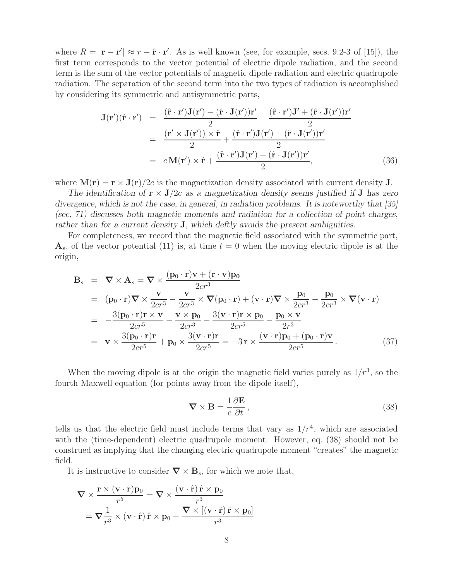where  $R = |\mathbf{r} - \mathbf{r}'| \approx r - \hat{\mathbf{r}} \cdot \mathbf{r}'$ . As is well known (see, for example, secs. 9.2-3 of [15]), the first term corresponds to the vector potential of electric dipole radiation, and the second term is the sum of the vector potentials of magnetic dipole radiation and electric quadrupole radiation. The separation of the second term into the two types of radiation is accomplished by considering its symmetric and antisymmetric parts,

$$
\mathbf{J}(\mathbf{r}')( \hat{\mathbf{r}} \cdot \mathbf{r}') = \frac{(\hat{\mathbf{r}} \cdot \mathbf{r}') \mathbf{J}(\mathbf{r}') - (\hat{\mathbf{r}} \cdot \mathbf{J}(\mathbf{r}')) \mathbf{r}'}{2} + \frac{(\hat{\mathbf{r}} \cdot \mathbf{r}') \mathbf{J}' + (\hat{\mathbf{r}} \cdot \mathbf{J}(\mathbf{r}')) \mathbf{r}'}{2}
$$
  
= 
$$
\frac{(\mathbf{r}' \times \mathbf{J}(\mathbf{r}')) \times \hat{\mathbf{r}}}{2} + \frac{(\hat{\mathbf{r}} \cdot \mathbf{r}') \mathbf{J}(\mathbf{r}') + (\hat{\mathbf{r}} \cdot \mathbf{J}(\mathbf{r}')) \mathbf{r}'}{2}
$$
  
= 
$$
c \mathbf{M}(\mathbf{r}') \times \hat{\mathbf{r}} + \frac{(\hat{\mathbf{r}} \cdot \mathbf{r}') \mathbf{J}(\mathbf{r}') + (\hat{\mathbf{r}} \cdot \mathbf{J}(\mathbf{r}')) \mathbf{r}'}{2},
$$
(36)

where  $\mathbf{M}(\mathbf{r}) = \mathbf{r} \times \mathbf{J}(\mathbf{r})/2c$  is the magnetization density associated with current density **J**.

*The identification of*  $\mathbf{r} \times \mathbf{J}/2c$  *as a magnetization density seems justified if* **J** *has zero divergence, which is not the case, in general, in radiation problems. It is noteworthy that [35] (sec. 71) discusses both magnetic moments and radiation for a collection of point charges, rather than for a current density* **J***, which deftly avoids the present ambiguities.*

For completeness, we record that the magnetic field associated with the symmetric part,  $\mathbf{A}_s$ , of the vector potential (11) is, at time  $t = 0$  when the moving electric dipole is at the origin,

$$
\mathbf{B}_{s} = \nabla \times \mathbf{A}_{s} = \nabla \times \frac{(\mathbf{p}_{0} \cdot \mathbf{r})\mathbf{v} + (\mathbf{r} \cdot \mathbf{v})\mathbf{p}_{0}}{2cr^{3}}
$$
\n
$$
= (\mathbf{p}_{0} \cdot \mathbf{r})\nabla \times \frac{\mathbf{v}}{2cr^{3}} - \frac{\mathbf{v}}{2cr^{3}} \times \nabla(\mathbf{p}_{0} \cdot \mathbf{r}) + (\mathbf{v} \cdot \mathbf{r})\nabla \times \frac{\mathbf{p}_{0}}{2cr^{3}} - \frac{\mathbf{p}_{0}}{2cr^{3}} \times \nabla(\mathbf{v} \cdot \mathbf{r})
$$
\n
$$
= -\frac{3(\mathbf{p}_{0} \cdot \mathbf{r})\mathbf{r} \times \mathbf{v}}{2cr^{5}} - \frac{\mathbf{v} \times \mathbf{p}_{0}}{2cr^{3}} - \frac{3(\mathbf{v} \cdot \mathbf{r})\mathbf{r} \times \mathbf{p}_{0}}{2cr^{5}} - \frac{\mathbf{p}_{0} \times \mathbf{v}}{2r^{3}}
$$
\n
$$
= \mathbf{v} \times \frac{3(\mathbf{p}_{0} \cdot \mathbf{r})\mathbf{r}}{2cr^{5}} + \mathbf{p}_{0} \times \frac{3(\mathbf{v} \cdot \mathbf{r})\mathbf{r}}{2cr^{5}} = -3\mathbf{r} \times \frac{(\mathbf{v} \cdot \mathbf{r})\mathbf{p}_{0} + (\mathbf{p}_{0} \cdot \mathbf{r})\mathbf{v}}{2cr^{5}}.
$$
\n(37)

When the moving dipole is at the origin the magnetic field varies purely as  $1/r<sup>3</sup>$ , so the fourth Maxwell equation (for points away from the dipole itself),

$$
\nabla \times \mathbf{B} = \frac{1}{c} \frac{\partial \mathbf{E}}{\partial t},\tag{38}
$$

tells us that the electric field must include terms that vary as  $1/r<sup>4</sup>$ , which are associated with the (time-dependent) electric quadrupole moment. However, eq. (38) should not be construed as implying that the changing electric quadrupole moment "creates" the magnetic field.

It is instructive to consider  $\nabla \times \mathbf{B}_s$ , for which we note that,

$$
\nabla \times \frac{\mathbf{r} \times (\mathbf{v} \cdot \mathbf{r}) \mathbf{p}_0}{r^5} = \nabla \times \frac{(\mathbf{v} \cdot \hat{\mathbf{r}}) \hat{\mathbf{r}} \times \mathbf{p}_0}{r^3}
$$

$$
= \nabla \frac{1}{r^3} \times (\mathbf{v} \cdot \hat{\mathbf{r}}) \hat{\mathbf{r}} \times \mathbf{p}_0 + \frac{\nabla \times [(\mathbf{v} \cdot \hat{\mathbf{r}}) \hat{\mathbf{r}} \times \mathbf{p}_0]}{r^3}
$$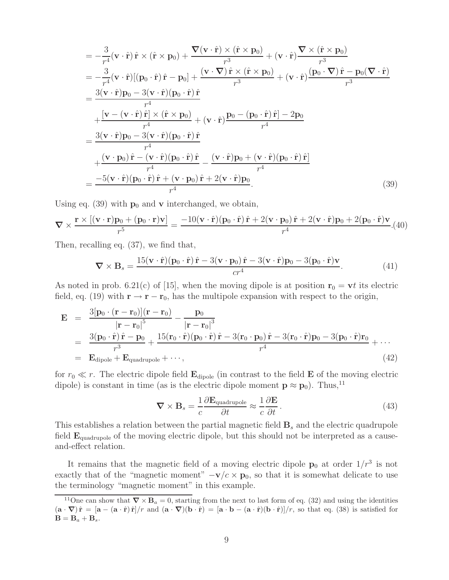$$
= -\frac{3}{r^4}(\mathbf{v} \cdot \hat{\mathbf{r}}) \hat{\mathbf{r}} \times (\hat{\mathbf{r}} \times \mathbf{p}_0) + \frac{\nabla(\mathbf{v} \cdot \hat{\mathbf{r}}) \times (\hat{\mathbf{r}} \times \mathbf{p}_0)}{r^3} + (\mathbf{v} \cdot \hat{\mathbf{r}}) \frac{\nabla \times (\hat{\mathbf{r}} \times \mathbf{p}_0)}{r^3}
$$
  
\n
$$
= -\frac{3}{r^4}(\mathbf{v} \cdot \hat{\mathbf{r}})[(\mathbf{p}_0 \cdot \hat{\mathbf{r}}) \hat{\mathbf{r}} - \mathbf{p}_0] + \frac{(\mathbf{v} \cdot \nabla) \hat{\mathbf{r}} \times (\hat{\mathbf{r}} \times \mathbf{p}_0)}{r^3} + (\mathbf{v} \cdot \hat{\mathbf{r}}) \frac{(\mathbf{p}_0 \cdot \nabla) \hat{\mathbf{r}} - \mathbf{p}_0(\nabla \cdot \hat{\mathbf{r}})}{r^3}
$$
  
\n
$$
= \frac{3(\mathbf{v} \cdot \hat{\mathbf{r}}) \mathbf{p}_0 - 3(\mathbf{v} \cdot \hat{\mathbf{r}}) (\mathbf{p}_0 \cdot \hat{\mathbf{r}}) \hat{\mathbf{r}}}{r^4}
$$
  
\n
$$
+ \frac{[\mathbf{v} - (\mathbf{v} \cdot \hat{\mathbf{r}}) \hat{\mathbf{r}}] \times (\hat{\mathbf{r}} \times \mathbf{p}_0)}{r^4} + (\mathbf{v} \cdot \hat{\mathbf{r}}) \frac{\mathbf{p}_0 - (\mathbf{p}_0 \cdot \hat{\mathbf{r}}) \hat{\mathbf{r}} - 2\mathbf{p}_0}{r^4}
$$
  
\n
$$
+ \frac{(\mathbf{v} \cdot \mathbf{p}_0) \hat{\mathbf{r}} - (\mathbf{v} \cdot \hat{\mathbf{r}}) (\mathbf{p}_0 \cdot \hat{\mathbf{r}}) \hat{\mathbf{r}}}{r^4} - \frac{(\mathbf{v} \cdot \hat{\mathbf{r}}) \mathbf{p}_0 + (\mathbf{v} \cdot \hat{\mathbf{r}}) (\mathbf{p}_0 \cdot \hat{\mathbf{r}}) \hat{\mathbf{r}}}{r^4}
$$
  
\n
$$
=
$$

Using eq.  $(39)$  with  $\mathbf{p}_0$  and **v** interchanged, we obtain,

$$
\nabla \times \frac{\mathbf{r} \times [(\mathbf{v} \cdot \mathbf{r})\mathbf{p}_0 + (\mathbf{p}_0 \cdot \mathbf{r})\mathbf{v}]}{r^5} = \frac{-10(\mathbf{v} \cdot \hat{\mathbf{r}})(\mathbf{p}_0 \cdot \hat{\mathbf{r}}) \hat{\mathbf{r}} + 2(\mathbf{v} \cdot \mathbf{p}_0) \hat{\mathbf{r}} + 2(\mathbf{v} \cdot \hat{\mathbf{r}})\mathbf{p}_0 + 2(\mathbf{p}_0 \cdot \hat{\mathbf{r}})\mathbf{v}}{r^4}.
$$
(40)

Then, recalling eq. (37), we find that,

$$
\nabla \times \mathbf{B}_s = \frac{15(\mathbf{v} \cdot \hat{\mathbf{r}})(\mathbf{p}_0 \cdot \hat{\mathbf{r}}) \hat{\mathbf{r}} - 3(\mathbf{v} \cdot \mathbf{p}_0) \hat{\mathbf{r}} - 3(\mathbf{v} \cdot \hat{\mathbf{r}})\mathbf{p}_0 - 3(\mathbf{p}_0 \cdot \hat{\mathbf{r}})\mathbf{v}}{cr^4}.
$$
(41)

As noted in prob. 6.21(c) of [15], when the moving dipole is at position  $\mathbf{r}_0 = \mathbf{v}t$  its electric field, eq. (19) with  $\mathbf{r} \to \mathbf{r} - \mathbf{r}_0$ , has the multipole expansion with respect to the origin,

$$
\mathbf{E} = \frac{3[\mathbf{p}_0 \cdot (\mathbf{r} - \mathbf{r}_0)](\mathbf{r} - \mathbf{r}_0)}{|\mathbf{r} - \mathbf{r}_0|^5} - \frac{\mathbf{p}_0}{|\mathbf{r} - \mathbf{r}_0|^3}
$$
\n
$$
= \frac{3(\mathbf{p}_0 \cdot \hat{\mathbf{r}}) \hat{\mathbf{r}} - \mathbf{p}_0}{r^3} + \frac{15(\mathbf{r}_0 \cdot \hat{\mathbf{r}})(\mathbf{p}_0 \cdot \hat{\mathbf{r}}) \hat{\mathbf{r}} - 3(\mathbf{r}_0 \cdot \mathbf{p}_0) \hat{\mathbf{r}} - 3(\mathbf{r}_0 \cdot \hat{\mathbf{r}})\mathbf{p}_0 - 3(\mathbf{p}_0 \cdot \hat{\mathbf{r}})\mathbf{r}_0}{r^4} + \cdots
$$
\n
$$
= \mathbf{E}_{\text{dipole}} + \mathbf{E}_{\text{quadrupole}} + \cdots,
$$
\n(42)

for  $r_0 \ll r$ . The electric dipole field  $\mathbf{E}_{\text{dipole}}$  (in contrast to the field  $\mathbf{E}$  of the moving electric dipole) is constant in time (as is the electric dipole moment  $\mathbf{p} \approx \mathbf{p}_0$ ). Thus,<sup>11</sup>

$$
\nabla \times \mathbf{B}_s = \frac{1}{c} \frac{\partial \mathbf{E}_{\text{quadrupole}}}{\partial t} \approx \frac{1}{c} \frac{\partial \mathbf{E}}{\partial t}.
$$
 (43)

This establishes a relation between the partial magnetic field  $\mathbf{B}_s$  and the electric quadrupole field  $\mathbf{E}_{\text{quadrupole}}$  of the moving electric dipole, but this should not be interpreted as a causeand-effect relation.

It remains that the magnetic field of a moving electric dipole  $\mathbf{p}_0$  at order  $1/r^3$  is not exactly that of the "magnetic moment"  $-\mathbf{v}/c \times \mathbf{p}_0$ , so that it is somewhat delicate to use the terminology "magnetic moment" in this example.

<sup>&</sup>lt;sup>11</sup>One can show that  $\nabla \times \mathbf{B}_a = 0$ , starting from the next to last form of eq. (32) and using the identities  $(\mathbf{a} \cdot \nabla) \hat{\mathbf{r}} = [\mathbf{a} - (\mathbf{a} \cdot \hat{\mathbf{r}}) \hat{\mathbf{r}}] / r$  and  $(\mathbf{a} \cdot \nabla)(\mathbf{b} \cdot \hat{\mathbf{r}}) = [\mathbf{a} \cdot \mathbf{b} - (\mathbf{a} \cdot \hat{\mathbf{r}})(\mathbf{b} \cdot \hat{\mathbf{r}})] / r$ , so that eq. (38) is satisfied for  $\mathbf{B} = \mathbf{B}_a + \mathbf{B}_s.$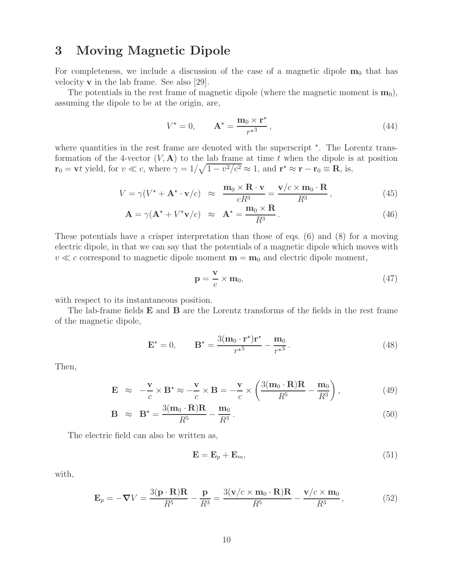## **3 Moving Magnetic Dipole**

For completeness, we include a discussion of the case of a magnetic dipole  $m_0$  that has velocity **v** in the lab frame. See also [29].

The potentials in the rest frame of magnetic dipole (where the magnetic moment is  $\mathbf{m}_0$ ), assuming the dipole to be at the origin, are,

$$
V^* = 0, \qquad \mathbf{A}^* = \frac{\mathbf{m}_0 \times \mathbf{r}^*}{r^{*3}},\tag{44}
$$

where quantities in the rest frame are denoted with the superscript  $*$ . The Lorentz transformation of the 4-vector  $(V, A)$  to the lab frame at time t when the dipole is at position  $\mathbf{r}_0 = \mathbf{v}t$  yield, for  $v \ll c$ , where  $\gamma = 1/\sqrt{1 - v^2/c^2} \approx 1$ , and  $\mathbf{r}^* \approx \mathbf{r} - \mathbf{r}_0 \equiv \mathbf{R}$ , is,

$$
V = \gamma (V^* + \mathbf{A}^* \cdot \mathbf{v}/c) \approx \frac{\mathbf{m}_0 \times \mathbf{R} \cdot \mathbf{v}}{cR^3} = \frac{\mathbf{v}/c \times \mathbf{m}_0 \cdot \mathbf{R}}{R^3},
$$
(45)

$$
\mathbf{A} = \gamma (\mathbf{A}^* + V^* \mathbf{v}/c) \approx \mathbf{A}^* = \frac{\mathbf{m}_0 \times \mathbf{R}}{R^3}.
$$
 (46)

These potentials have a crisper interpretation than those of eqs. (6) and (8) for a moving electric dipole, in that we can say that the potentials of a magnetic dipole which moves with  $v \ll c$  correspond to magnetic dipole moment  $\mathbf{m} = \mathbf{m}_0$  and electric dipole moment,

$$
\mathbf{p} = \frac{\mathbf{v}}{c} \times \mathbf{m}_0,\tag{47}
$$

with respect to its instantaneous position.

The lab-frame fields **E** and **B** are the Lorentz transforms of the fields in the rest frame of the magnetic dipole,

$$
\mathbf{E}^{\star} = 0, \qquad \mathbf{B}^{\star} = \frac{3(\mathbf{m}_0 \cdot \mathbf{r}^{\star})\mathbf{r}^{\star}}{r^{\star 5}} - \frac{\mathbf{m}_0}{r^{\star 3}}.
$$
 (48)

Then,

$$
\mathbf{E} \approx -\frac{\mathbf{v}}{c} \times \mathbf{B}^* \approx -\frac{\mathbf{v}}{c} \times \mathbf{B} = -\frac{\mathbf{v}}{c} \times \left( \frac{3(\mathbf{m}_0 \cdot \mathbf{R})\mathbf{R}}{R^5} - \frac{\mathbf{m}_0}{R^3} \right), \tag{49}
$$

$$
\mathbf{B} \approx \mathbf{B}^* = \frac{3(\mathbf{m}_0 \cdot \mathbf{R})\mathbf{R}}{R^5} - \frac{\mathbf{m}_0}{R^3}.
$$
 (50)

The electric field can also be written as,

$$
\mathbf{E} = \mathbf{E}_p + \mathbf{E}_m,\tag{51}
$$

with,

$$
\mathbf{E}_p = -\nabla V = \frac{3(\mathbf{p} \cdot \mathbf{R})\mathbf{R}}{R^5} - \frac{\mathbf{p}}{R^3} = \frac{3(\mathbf{v}/c \times \mathbf{m}_0 \cdot \mathbf{R})\mathbf{R}}{R^5} - \frac{\mathbf{v}/c \times \mathbf{m}_0}{R^3},
$$
(52)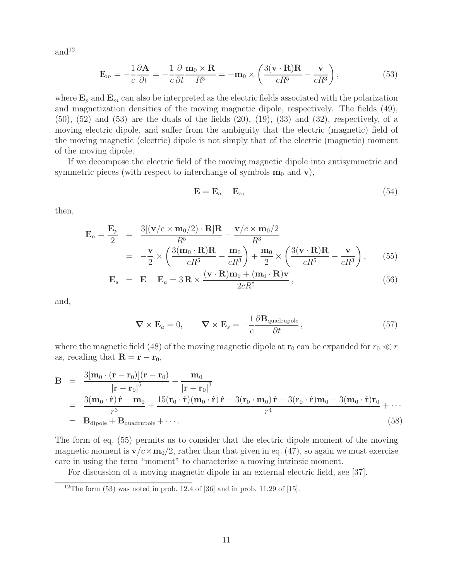and $12$ 

$$
\mathbf{E}_m = -\frac{1}{c} \frac{\partial \mathbf{A}}{\partial t} = -\frac{1}{c} \frac{\partial}{\partial t} \frac{\mathbf{m}_0 \times \mathbf{R}}{R^3} = -\mathbf{m}_0 \times \left( \frac{3(\mathbf{v} \cdot \mathbf{R}) \mathbf{R}}{c R^5} - \frac{\mathbf{v}}{c R^3} \right),\tag{53}
$$

where  $\mathbf{E}_p$  and  $\mathbf{E}_m$  can also be interpreted as the electric fields associated with the polarization and magnetization densities of the moving magnetic dipole, respectively. The fields (49),  $(50)$ ,  $(52)$  and  $(53)$  are the duals of the fields  $(20)$ ,  $(19)$ ,  $(33)$  and  $(32)$ , respectively, of a moving electric dipole, and suffer from the ambiguity that the electric (magnetic) field of the moving magnetic (electric) dipole is not simply that of the electric (magnetic) moment of the moving dipole.

If we decompose the electric field of the moving magnetic dipole into antisymmetric and symmetric pieces (with respect to interchange of symbols  $\mathbf{m}_0$  and  $\mathbf{v}$ ),

$$
\mathbf{E} = \mathbf{E}_a + \mathbf{E}_s, \tag{54}
$$

then,

$$
\mathbf{E}_a = \frac{\mathbf{E}_p}{2} = \frac{3[(\mathbf{v}/c \times \mathbf{m}_0/2) \cdot \mathbf{R}]\mathbf{R}}{R^5} - \frac{\mathbf{v}/c \times \mathbf{m}_0/2}{R^3}
$$
  
= 
$$
-\frac{\mathbf{v}}{2} \times \left(\frac{3(\mathbf{m}_0 \cdot \mathbf{R})\mathbf{R}}{cR^5} - \frac{\mathbf{m}_0}{cR^3}\right) + \frac{\mathbf{m}_0}{2} \times \left(\frac{3(\mathbf{v} \cdot \mathbf{R})\mathbf{R}}{cR^5} - \frac{\mathbf{v}}{cR^3}\right),
$$
(55)

$$
\mathbf{E}_s = \mathbf{E} - \mathbf{E}_a = 3\mathbf{R} \times \frac{(\mathbf{v} \cdot \mathbf{R})\mathbf{m}_0 + (\mathbf{m}_0 \cdot \mathbf{R})\mathbf{v}}{2cR^5},
$$
\n(56)

and,

$$
\nabla \times \mathbf{E}_a = 0, \qquad \nabla \times \mathbf{E}_s = -\frac{1}{c} \frac{\partial \mathbf{B}_{\text{quadrupole}}}{\partial t}, \qquad (57)
$$

where the magnetic field (48) of the moving magnetic dipole at  $\mathbf{r}_0$  can be expanded for  $r_0 \ll r$ as, recaling that  $\mathbf{R} = \mathbf{r} - \mathbf{r}_0$ ,

$$
\mathbf{B} = \frac{3[\mathbf{m}_0 \cdot (\mathbf{r} - \mathbf{r}_0)](\mathbf{r} - \mathbf{r}_0)}{|\mathbf{r} - \mathbf{r}_0|^5} - \frac{\mathbf{m}_0}{|\mathbf{r} - \mathbf{r}_0|^3}
$$
\n
$$
= \frac{3(\mathbf{m}_0 \cdot \hat{\mathbf{r}}) \hat{\mathbf{r}} - \mathbf{m}_0}{r^3} + \frac{15(\mathbf{r}_0 \cdot \hat{\mathbf{r}})(\mathbf{m}_0 \cdot \hat{\mathbf{r}}) \hat{\mathbf{r}} - 3(\mathbf{r}_0 \cdot \mathbf{m}_0) \hat{\mathbf{r}} - 3(\mathbf{r}_0 \cdot \hat{\mathbf{r}}) \mathbf{m}_0 - 3(\mathbf{m}_0 \cdot \hat{\mathbf{r}}) \mathbf{r}_0}{r^4} + \cdots
$$
\n
$$
= \mathbf{B}_{\text{dipole}} + \mathbf{B}_{\text{quadrupole}} + \cdots.
$$
\n(58)

The form of eq. (55) permits us to consider that the electric dipole moment of the moving magnetic moment is  $\mathbf{v}/c \times \mathbf{m}_0/2$ , rather than that given in eq. (47), so again we must exercise care in using the term "moment" to characterize a moving intrinsic moment.

For discussion of a moving magnetic dipole in an external electric field, see [37].

<sup>&</sup>lt;sup>12</sup>The form  $(53)$  was noted in prob. 12.4 of  $[36]$  and in prob. 11.29 of  $[15]$ .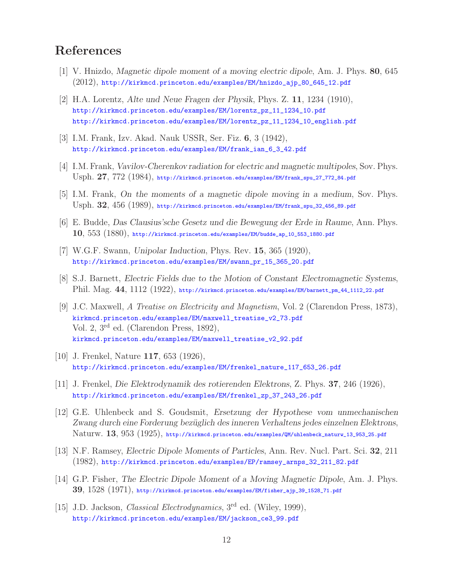# **References**

- [1] V. Hnizdo, *Magnetic dipole moment of a moving electric dipole*, Am. J. Phys. **80**, 645 (2012), http://kirkmcd.princeton.edu/examples/EM/hnizdo\_ajp\_80\_645\_12.pdf
- [2] H.A. Lorentz, *Alte und Neue Fragen der Physik*, Phys. Z. **11**, 1234 (1910), http://kirkmcd.princeton.edu/examples/EM/lorentz\_pz\_11\_1234\_10.pdf http://kirkmcd.princeton.edu/examples/EM/lorentz\_pz\_11\_1234\_10\_english.pdf
- [3] I.M. Frank, Izv. Akad. Nauk USSR, Ser. Fiz. **6**, 3 (1942), http://kirkmcd.princeton.edu/examples/EM/frank\_ian\_6\_3\_42.pdf
- [4] I.M. Frank, *Vavilov-Cherenkov radiation for electric and magnetic multipoles*, Sov. Phys. Usph. **27**, 772 (1984), http://kirkmcd.princeton.edu/examples/EM/frank\_spu\_27\_772\_84.pdf
- [5] I.M. Frank, *On the moments of a magnetic dipole moving in a medium*, Sov. Phys. Usph. **32**, 456 (1989), http://kirkmcd.princeton.edu/examples/EM/frank\_spu\_32\_456\_89.pdf
- [6] E. Budde, *Das Clausius'sche Gesetz und die Bewegung der Erde in Raume*, Ann. Phys. **10**, 553 (1880), http://kirkmcd.princeton.edu/examples/EM/budde\_ap\_10\_553\_1880.pdf
- [7] W.G.F. Swann, *Unipolar Induction*, Phys. Rev. **15**, 365 (1920), http://kirkmcd.princeton.edu/examples/EM/swann\_pr\_15\_365\_20.pdf
- [8] S.J. Barnett, *Electric Fields due to the Motion of Constant Electromagnetic Systems*, Phil. Mag. **44**, 1112 (1922), http://kirkmcd.princeton.edu/examples/EM/barnett\_pm\_44\_1112\_22.pdf
- [9] J.C. Maxwell, *A Treatise on Electricity and Magnetism*, Vol. 2 (Clarendon Press, 1873), kirkmcd.princeton.edu/examples/EM/maxwell\_treatise\_v2\_73.pdf Vol. 2, 3rd ed. (Clarendon Press, 1892), kirkmcd.princeton.edu/examples/EM/maxwell\_treatise\_v2\_92.pdf
- [10] J. Frenkel, Nature **117**, 653 (1926), http://kirkmcd.princeton.edu/examples/EM/frenkel\_nature\_117\_653\_26.pdf
- [11] J. Frenkel, *Die Elektrodynamik des rotierenden Elektrons*, Z. Phys. **37**, 246 (1926), http://kirkmcd.princeton.edu/examples/EM/frenkel\_zp\_37\_243\_26.pdf
- [12] G.E. Uhlenbeck and S. Goudsmit, *Ersetzung der Hypothese vom unmechanischen Zwang durch eine Forderung bez¨uglich des inneren Verhaltens jedes einzelnen Elektrons*, Naturw. **13**, 953 (1925), http://kirkmcd.princeton.edu/examples/QM/uhlenbeck\_naturw\_13\_953\_25.pdf
- [13] N.F. Ramsey, *Electric Dipole Moments of Particles*, Ann. Rev. Nucl. Part. Sci. **32**, 211 (1982), http://kirkmcd.princeton.edu/examples/EP/ramsey\_arnps\_32\_211\_82.pdf
- [14] G.P. Fisher, *The Electric Dipole Moment of a Moving Magnetic Dipole*, Am. J. Phys. **39**, 1528 (1971), http://kirkmcd.princeton.edu/examples/EM/fisher\_ajp\_39\_1528\_71.pdf
- [15] J.D. Jackson, *Classical Electrodynamics*, 3rd ed. (Wiley, 1999), http://kirkmcd.princeton.edu/examples/EM/jackson\_ce3\_99.pdf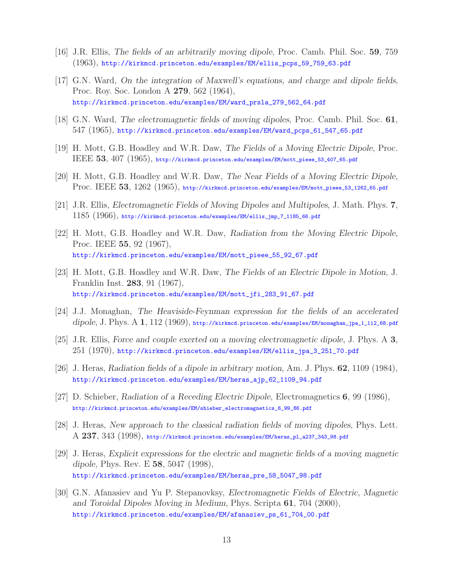- [16] J.R. Ellis, *The fields of an arbitrarily moving dipole*, Proc. Camb. Phil. Soc. **59**, 759 (1963), http://kirkmcd.princeton.edu/examples/EM/ellis\_pcps\_59\_759\_63.pdf
- [17] G.N. Ward, *On the integration of Maxwell's equations, and charge and dipole fields*, Proc. Roy. Soc. London A **279**, 562 (1964), http://kirkmcd.princeton.edu/examples/EM/ward\_prsla\_279\_562\_64.pdf
- [18] G.N. Ward, *The electromagnetic fields of moving dipoles*, Proc. Camb. Phil. Soc. **61**, 547 (1965), http://kirkmcd.princeton.edu/examples/EM/ward\_pcps\_61\_547\_65.pdf
- [19] H. Mott, G.B. Hoadley and W.R. Daw, *The Fields of a Moving Electric Dipole*, Proc. IEEE **53**, 407 (1965), http://kirkmcd.princeton.edu/examples/EM/mott\_pieee\_53\_407\_65.pdf
- [20] H. Mott, G.B. Hoadley and W.R. Daw, *The Near Fields of a Moving Electric Dipole*, Proc. IEEE **53**, 1262 (1965), http://kirkmcd.princeton.edu/examples/EM/mott\_pieee\_53\_1262\_65.pdf
- [21] J.R. Ellis, *Electromagnetic Fields of Moving Dipoles and Multipoles*, J. Math. Phys. **7**, 1185 (1966), http://kirkmcd.princeton.edu/examples/EM/ellis\_jmp\_7\_1185\_66.pdf
- [22] H. Mott, G.B. Hoadley and W.R. Daw, *Radiation from the Moving Electric Dipole*, Proc. IEEE **55**, 92 (1967), http://kirkmcd.princeton.edu/examples/EM/mott\_pieee\_55\_92\_67.pdf
- [23] H. Mott, G.B. Hoadley and W.R. Daw, *The Fields of an Electric Dipole in Motion*, J. Franklin Inst. **283**, 91 (1967), http://kirkmcd.princeton.edu/examples/EM/mott\_jfi\_283\_91\_67.pdf
- [24] J.J. Monaghan, *The Heaviside-Feynman expression for the fields of an accelerated dipole*, J. Phys. A **1**, 112 (1969), http://kirkmcd.princeton.edu/examples/EM/monaghan\_jpa\_1\_112\_68.pdf
- [25] J.R. Ellis, *Force and couple exerted on a moving electromagnetic dipole*, J. Phys. A **3**, 251 (1970), http://kirkmcd.princeton.edu/examples/EM/ellis\_jpa\_3\_251\_70.pdf
- [26] J. Heras, *Radiation fields of a dipole in arbitrary motion*, Am. J. Phys. **62**, 1109 (1984), http://kirkmcd.princeton.edu/examples/EM/heras\_ajp\_62\_1109\_94.pdf
- [27] D. Schieber, *Radiation of a Receding Electric Dipole*, Electromagnetics **6**, 99 (1986), http://kirkmcd.princeton.edu/examples/EM/shieber\_electromagnetics\_6\_99\_86.pdf
- [28] J. Heras, *New approach to the classical radiation fields of moving dipoles*, Phys. Lett. A **237**, 343 (1998), http://kirkmcd.princeton.edu/examples/EM/heras\_pl\_a237\_343\_98.pdf
- [29] J. Heras, *Explicit expressions for the electric and magnetic fields of a moving magnetic dipole*, Phys. Rev. E **58**, 5047 (1998), http://kirkmcd.princeton.edu/examples/EM/heras\_pre\_58\_5047\_98.pdf
- [30] G.N. Afanasiev and Yu P. Stepanovksy, *Electromagnetic Fields of Electric, Magnetic and Toroidal Dipoles Moving in Medium*, Phys. Scripta **61**, 704 (2000), http://kirkmcd.princeton.edu/examples/EM/afanasiev\_ps\_61\_704\_00.pdf